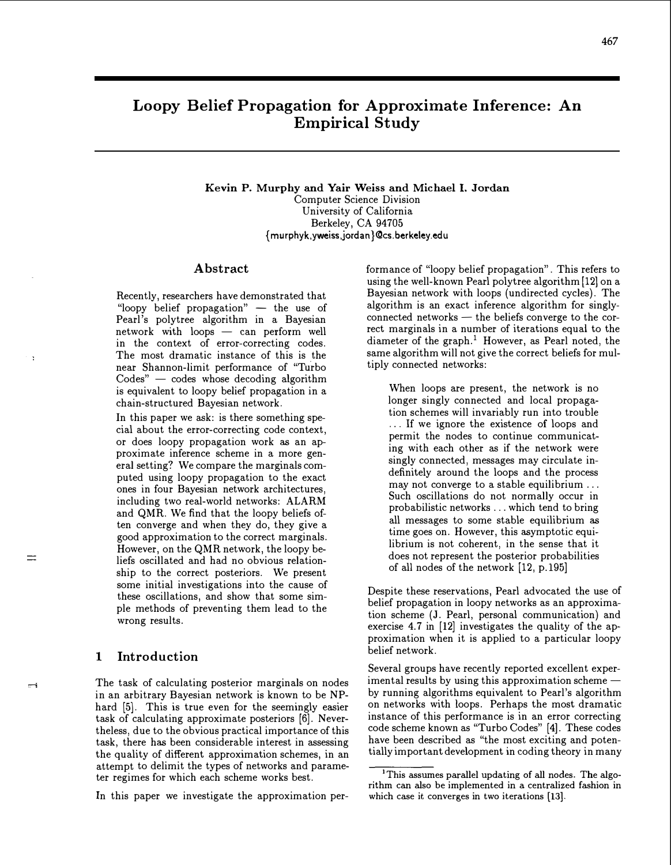# Loopy Belief Propagation for Approximate Inference: An Empirical Study

Kevin P. Murphy and Yair Weiss and Michael I. Jordan Computer Science Division University of California Berkeley, CA 94705 { murphyk,yweiss,jordan }@cs.berkeley.edu

#### Abstract

Recently, researchers have demonstrated that "loopy belief propagation"  $-$  the use of Pearl's polytree algorithm in a Bayesian  $network$  with loops  $-$  can perform well in the context of error-correcting codes. The most dramatic instance of this is the near Shannon-limit performance of "Turbo  $\text{Codes}^n$  - codes whose decoding algorithm is equivalent to loopy belief propagation in a chain-structured Bayesian network.

In this paper we ask: is there something special about the error-correcting code context, or does loopy propagation work as an approximate inference scheme in a more general setting? We compare the marginals computed using loopy propagation to the exact ones in four Bayesian network architectures, including two real-world networks: ALARM and QMR. We find that the loopy beliefs often converge and when they do, they give a good approximation to the correct marginals. However, on the QMR network, the loopy beliefs oscillated and had no obvious relationship to the correct posteriors. We present some initial investigations into the cause of these oscillations, and show that some simple methods of preventing them lead to the wrong results.

# 1 Introduction

 $\overline{\mathbf{r}}$ 

 $\equiv$ 

 $\rightarrow$ 

The task of calculating posterior marginals on nodes in an arbitrary Bayesian network is known to be NPhard [5]. This is true even for the seemingly easier task of calculating approximate posteriors [6]. Nevertheless, due to the obvious practical importance of this task, there has been considerable interest in assessing the quality of different approximation schemes, in an attempt to delimit the types of networks and parameter regimes for which each scheme works best.

In this paper we investigate the approximation per-

formance of "loopy belief propagation". This refers to using the well-known Pearl polytree algorithm [12] on a Bayesian network with loops (undirected cycles). The algorithm is an exact inference algorithm for singlyconnected networks  $-$  the beliefs converge to the correct marginals in a number of iterations equal to the diameter of the graph.<sup>1</sup> However, as Pearl noted, the same algorithm will not give the correct beliefs for multiply connected networks:

When loops are present, the network is no longer singly connected and local propagation schemes will invariably run into trouble . .. If we ignore the existence of loops and permit the nodes to continue communicating with each other as if the network were singly connected, messages may circulate indefinitely around the loops and the process may not converge to a stable equilibrium ... Such oscillations do not normally occur in probabilistic networks ... which tend to bring all messages to some stable equilibrium as time goes on. However, this asymptotic equilibrium is not coherent, in the sense that it does not represent the posterior probabilities of all nodes of the network [12, p.l95]

Despite these reservations, Pearl advocated the use of belief propagation in loopy networks as an approximation scheme (J. Pearl, personal communication) and exercise 4.7 in [12] investigates the quality of the approximation when it is applied to a particular loopy belief network.

Several groups have recently reported excellent experimental results by using this approximation schemeby running algorithms equivalent to Pearl's algorithm on networks with loops. Perhaps the most dramatic instance of this performance is in an error correcting code scheme known as "Turbo Codes" [4]. These codes have been described as "the most exciting and potentially important development in coding theory in many

<sup>&</sup>lt;sup>1</sup>This assumes parallel updating of all nodes. The algorithm can also be implemented in a centralized fashion in which case it converges in two iterations [13).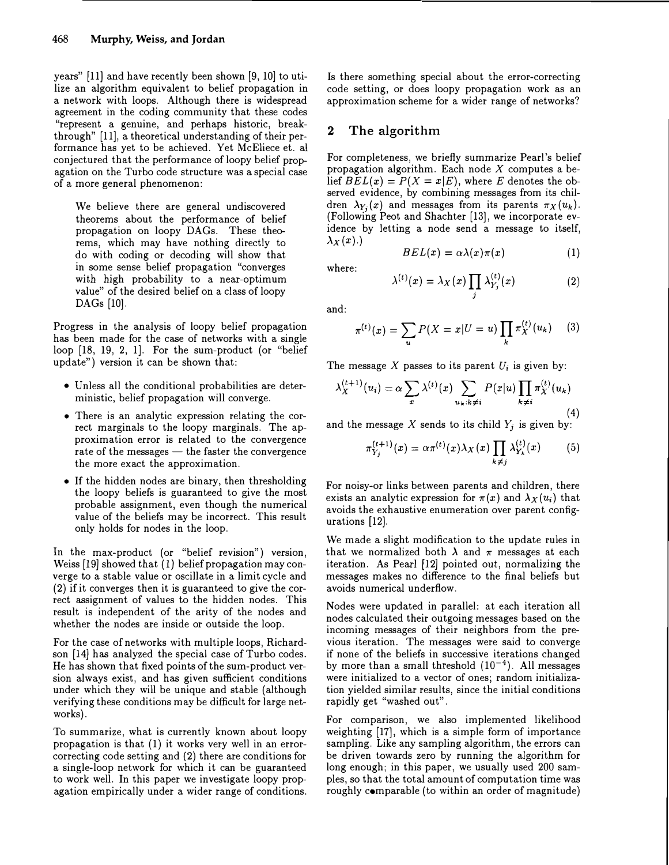years" [11] and have recently been shown [9, 10] to utilize an algorithm equivalent to belief propagation in a network with loops. Although there is widespread agreement in the coding community that these codes "represent a genuine, and perhaps historic, breakthrough" [11], a theoretical understanding of their performance has yet to be achieved. Yet McEliece et. a! conjectured that the performance of loopy belief propagation on the Turbo code structure was a special case of a more general phenomenon:

We believe there are general undiscovered theorems about the performance of belief propagation on loopy DAGs. These theorems, which may have nothing directly to do with coding or decoding will show that in some sense belief propagation "converges with high probability to a near-optimum value" of the desired belief on a class of loopy DAGs [10].

Progress in the analysis of loopy belief propagation has been made for the case of networks with a single loop [18, 19, 2, 1]. For the sum-product (or "belief update") version it can be shown that:

- Unless all the conditional probabilities are deterministic, belief propagation will converge.
- There is an analytic expression relating the correct marginals to the loopy marginals. The approximation error is related to the convergence rate of the messages  $-$  the faster the convergence the more exact the approximation.
- If the hidden nodes are binary, then thresholding the loopy beliefs is guaranteed to give the most probable assignment, even though the numerical value of the beliefs may be incorrect. This result only holds for nodes in the loop.

In the max-product (or "belief revision") version, Weiss [19] showed that ( 1) belief propagation may converge to a stable value or oscillate in a limit cycle and (2) if it converges then it is guaranteed to give the correct assignment of values to the hidden nodes. This result is independent of the arity of the nodes and whether the nodes are inside or outside the loop.

For the case of networks with multiple loops, Richardson [14] has analyzed the special case of Turbo codes. He has shown that fixed points of the sum-product version always exist, and has given sufficient conditions under which they will be unique and stable (although verifying these conditions may be difficult for large networks).

To summarize, what is currently known about loopy propagation is that  $(1)$  it works very well in an errorcorrecting code setting and (2) there are conditions for a single-loop network for which it can be guaranteed to work well. In this paper we investigate loopy propagation empirically under a wider range of conditions.

Is there something special about the error-correcting code setting, or does loopy propagation work as an approximation scheme for a wider range of networks?

# 2 The algorithm

For completeness, we briefly summarize Pearl's belief propagation algorithm. Each node  $X$  computes a belief  $BEL(x) = P(X = x|E)$ , where E denotes the observed evidence, by combining messages from its children  $\lambda_{Y_i}(x)$  and messages from its parents  $\pi_X(u_k)$ . (Following Peot and Shachter [13], we incorporate evidence by letting a node send a message to itself,  $\lambda_X(x)$ .)

$$
BEL(x) = \alpha \lambda(x) \pi(x) \qquad (1)
$$

where:

$$
\lambda^{(t)}(x) = \lambda_X(x) \prod_j \lambda_{Y_j}^{(t)}(x) \tag{2}
$$

and:

$$
\pi^{(t)}(x) = \sum_{u} P(X = x | U = u) \prod_{k} \pi_X^{(t)}(u_k) \quad (3)
$$

The message X passes to its parent  $U_i$  is given by:

$$
\lambda_X^{(t+1)}(u_i) = \alpha \sum_x \lambda^{(t)}(x) \sum_{u_k:k\neq i} P(x|u) \prod_{k\neq i} \pi_X^{(t)}(u_k)
$$
\n(4)

and the message X sends to its child  $Y_i$  is given by:

$$
\pi_{Y_j}^{(t+1)}(x) = \alpha \pi^{(t)}(x) \lambda_X(x) \prod_{k \neq j} \lambda_{Y_k}^{(t)}(x) \qquad (5)
$$

For noisy-or links between parents and children, there exists an analytic expression for  $\pi(x)$  and  $\lambda_X(u_i)$  that avoids the exhaustive enumeration over parent configurations [12].

We made a slight modification to the update rules in that we normalized both  $\lambda$  and  $\pi$  messages at each iteration. As Pearl [12] pointed out, normalizing the messages makes no difference to the final beliefs but avoids numerical underflow.

Nodes were updated in parallel: at each iteration all nodes calculated their outgoing messages based on the incoming messages of their neighbors from the previous iteration. The messages were said to converge if none of the beliefs in successive iterations changed by more than a small threshold  $(10^{-4})$ . All messages were initialized to a vector of ones; random initialization yielded similar results, since the initial conditions rapidly get "washed out".

For comparison, we also implemented likelihood weighting [17], which is a simple form of importance sampling. Like any sampling algorithm, the errors can be driven towards zero by running the algorithm for long enough; in this paper, we usually used 200 samples, so that the total amount of computation time was roughly comparable (to within an order of magnitude)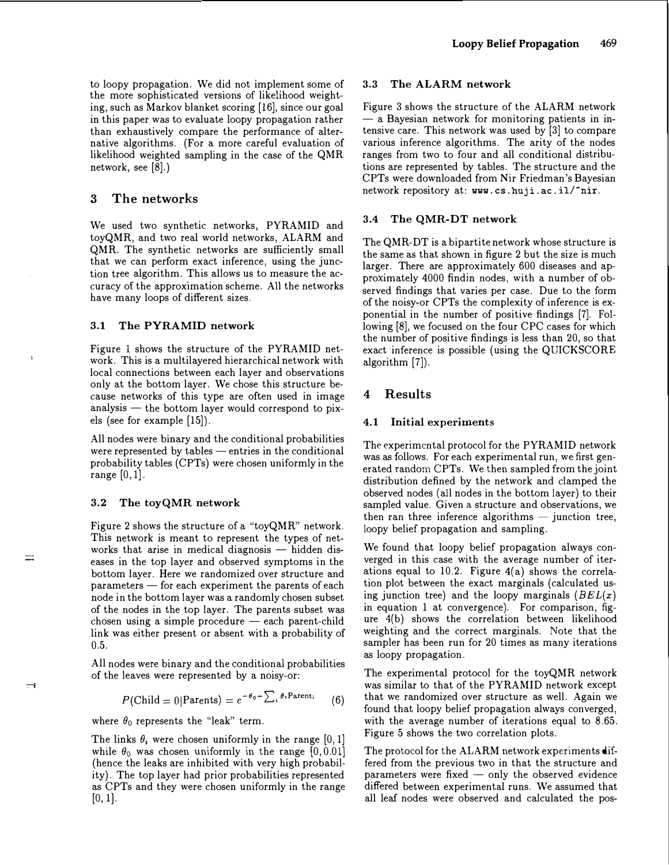to loopy propagation. We did not implement some of the more sophisticated versions of likelihood weighting, such as Markov blanket scoring (16], since our goal in this paper was to evaluate loopy propagation rather than exhaustively compare the performance of alternative algorithms. (For a more careful evaluation of likelihood weighted sampling in the case of the QMR network, see (8].)

### 3 The networks

We used two synthetic networks, PYRAMID and toyQMR, and two real world networks, ALARM and QMR. The synthetic networks are sufficiently small that we can perform exact inference, using the junction tree algorithm. This allows us to measure the accuracy of the approximation scheme. All the networks have many loops of different sizes.

#### 3.1 The PYRAMID network

Figure 1 shows the structure of the PYRAMID network. This is a multilayered hierarchical network with local connections between each layer and observations only at the bottom layer. We chose this structure because networks of this type are often used in image analysis  $-$  the bottom layer would correspond to pixels (see for example (15]).

All nodes were binary and the conditional probabilities were represented by tables  $-$  entries in the conditional probability tables (CPTs) were chosen uniformly in the range  $[0, 1]$ .

#### 3.2 The toyQMR network

Figure 2 shows the structure of a "toyQMR" network. This network is meant to represent the types of networks that arise in medical diagnosis  $-$  hidden diseases in the top layer and observed symptoms in the bottom layer. Here we randomized over structure and parameters - for each experiment the parents of each node in the bottom layer was a randomly chosen subset of the nodes in the top layer. The parents subset was  $chosen$  using a simple procedure  $-$  each parent-child link was either present or absent with a probability of 0.5.

All nodes were binary and the conditional probabilities of the leaves were represented by a noisy-or:

$$
P(\text{Child} = 0 | \text{Parents}) = e^{-\theta_0 - \sum_i \theta_i \text{Parent}_i} \qquad (6)
$$

where  $\theta_0$  represents the "leak" term.

The links  $\theta_i$  were chosen uniformly in the range [0, 1] while  $\theta_0$  was chosen uniformly in the range [0, 0.01] (hence the leaks are inhibited with very high probability). The top layer had prior probabilities represented as CPTs and they were chosen uniformly in the range  $[0, 1]$ .

#### 3.3 The ALARM network

Figure 3 shows the structure of the ALARM network  $-$  a Bayesian network for monitoring patients in intensive care. This network was used by (3] to compare various inference algorithms. The arity of the nodes ranges from two to four and all conditional distributions are represented by tables. The structure and the CPTs were downloaded from Nir Friedman's Bayesian network repository at: www.cs.huji.ac.il/"nir.

#### 3.4 The QMR-DT network

The QMR-DT is a bipartite network whose structure is the same as that shown in figure 2 but the size is much larger. There are approximately 600 diseases and approximately 4000 findin nodes, with a number of observed findings that varies per case. Due to the form of the noisy-or CPTs the complexity of inference is exponential in the number of positive findings (7]. Following (8], we focused on the four CPC cases for which the number of positive findings is less than 20, so that exact inference is possible (using the QUICKSCORE algorithm (7]).

### 4 Results

#### 4.1 Initial experiments

The experimental protocol for the PYRAMID network was as follows. For each experimental run, we first generated random CPTs. We then sampled from the joint distribution defined by the network and clamped the observed nodes (all nodes in the bottom layer) to their sampled value. Given a structure and observations, we then ran three inference algorithms  $-$  junction tree, loopy belief propagation and sampling.

We found that loopy belief propagation always converged in this case with the average number of iterations equal to 10.2. Figure  $4(a)$  shows the correlation plot between the exact marginals (calculated using junction tree) and the loopy marginals  $(BEL(x))$ in equation 1 at convergence). For comparison, figure 4(b) shows the correlation between likelihood weighting and the correct marginals. Note that the sampler has been run for 20 times as many iterations as loopy propagation.

The experimental protocol for the toyQMR network was similar to that of the PYRAMID network except that we randomized over structure as well. Again we found that loopy belief propagation always converged, with the average number of iterations equal to 8.65. Figure 5 shows the two correlation plots.

The protocol for the ALARM network experiments differed from the previous two in that the structure and parameters were fixed  $-$  only the observed evidence differed between experimental runs. We assumed that all leaf nodes were observed and calculated the pos-

 $\equiv$ i

Ī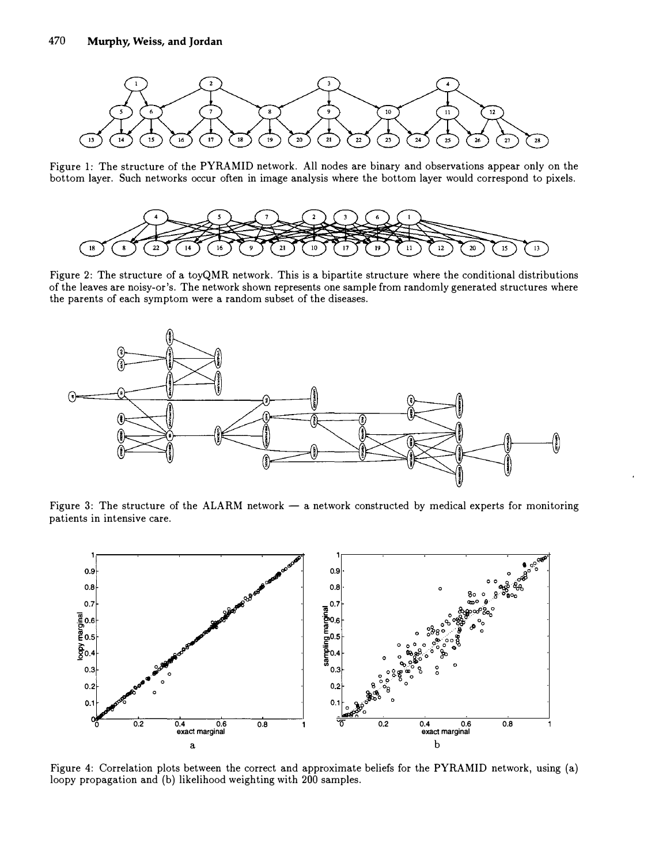

Figure 1: The structure of the PYRAMID network. All nodes are binary and observations appear only on the bottom layer. Such networks occur often in image analysis where the bottom layer would correspond to pixels.



Figure 2: The structure of a toyQMR network. This is a bipartite structure where the conditional distributions of the leaves are noisy-or's. The network shown represents one sample from randomly generated structures where the parents of each symptom were a random subset of the diseases.



Figure 3: The structure of the ALARM network  $-$  a network constructed by medical experts for monitoring patients in intensive care.



Figure 4: Correlation plots between the correct and approximate beliefs for the PYRAMID network, using (a) loopy propagation and (b) likelihood weighting with 200 samples.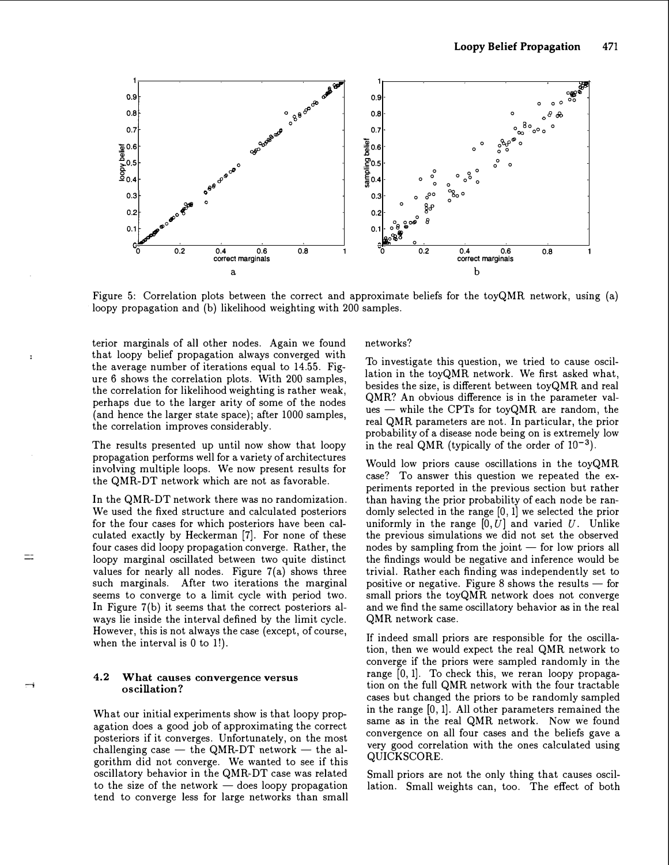

Figure 5: Correlation plots between the correct and approximate beliefs for the toyQMR network, usmg (a) loopy propagation and (b) likelihood weighting with 200 samples.

terior marginals of all other nodes. Again we found that loopy belief propagation always converged with the average number of iterations equal to 14.55. Figure 6 shows the correlation plots. With 200 samples, the correlation for likelihood weighting is rather weak, perhaps due to the larger arity of some of the nodes (and hence the larger state space); after 1000 samples, the correlation improves considerably.

The results presented up until now show that loopy propagation performs well for a variety of architectures involving multiple loops. We now present results for the QMR-DT network which are not as favorable.

In the QMR-DT network there was no randomization. We used the fixed structure and calculated posteriors for the four cases for which posteriors have been calculated exactly by Heckerman [7]. For none of these four cases did loopy propagation converge. Rather, the loopy marginal oscillated between two quite distinct values for nearly all nodes. Figure 7(a) shows three such marginals. After two iterations the marginal seems to converge to a limit cycle with period two. In Figure 7(b) it seems that the correct posteriors always lie inside the interval defined by the limit cycle. However, this is not always the case (except, of course, when the interval is  $0$  to  $1!$ ).

#### 4.2 What causes convergence versus oscill ation?

What our initial experiments show is that loopy propagation does a good job of approximating the correct posteriors if it converges. Unfortunately, on the most challenging case  $-$  the QMR-DT network  $-$  the algorithm did not converge. We wanted to see if this oscillatory behavior in the QMR-DT case was related to the size of the network  $-$  does loopy propagation tend to converge less for large networks than small networks?

To investigate this question, we tried to cause oscillation in the toyQMR network. We first asked what, besides the size, is different between toyQMR and real QMR? An obvious difference is in the parameter values  $-$  while the CPTs for toyQMR are random, the real QMR parameters are not. In particular, the prior probability of a disease node being on is extremely low in the real QMR (typically of the order of  $10^{-3}$ ).

Would low priors cause oscillations in the toyQMR case? To answer this question we repeated the experiments reported in the previous section but rather than having the prior probability of each node be randomly selected in the range [0, 1] we selected the prior uniformly in the range  $[0, U]$  and varied U. Unlike the previous simulations we did not set the observed nodes by sampling from the joint  $-$  for low priors all the findings would be negative and inference would be trivial. Rather each finding was independently set to positive or negative. Figure 8 shows the results  $-$  for small priors the toyQMR network does not converge and we find the same oscillatory behavior as in the real QMR network case.

If indeed small priors are responsible for the oscillation, then we would expect the real QMR network to converge if the priors were sampled randomly in the range [0, 1]. To check this, we reran loopy propagation on the full QMR network with the four tractable cases but changed the priors to be randomly sampled in the range [0, 1]. All other parameters remained the same as in the real QMR network. Now we found convergence on all four cases and the beliefs gave a very good correlation with the ones calculated using QUICKSCORE.

Small priors are not the only thing that causes oscillation. Small weights can, too. The effect of both

÷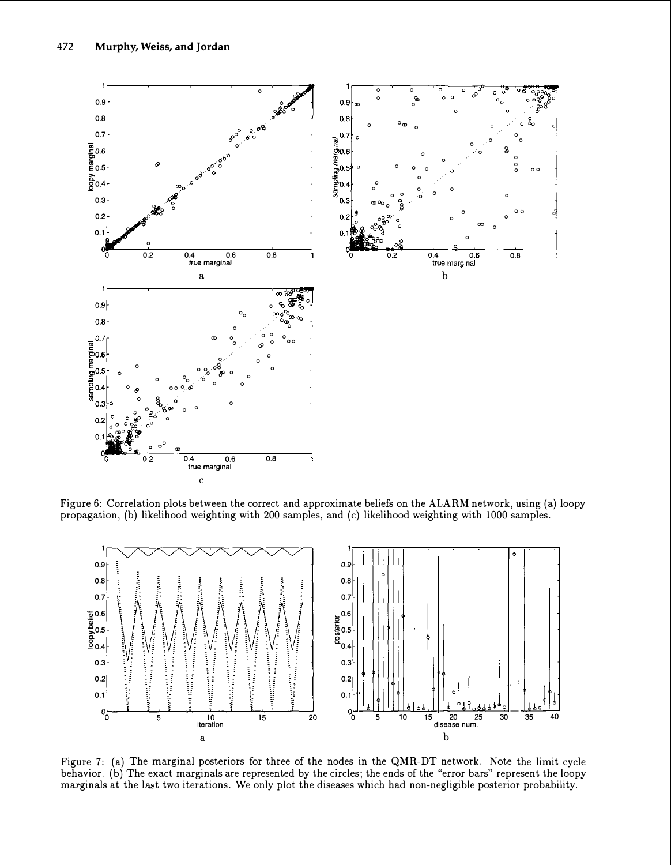

Figure 6: Correlation plots between the correct and approximate beliefs on the ALARM network, using (a) loopy propagation, (b) likelihood weighting with 200 samples, and (c) likelihood weighting with 1000 samples.



Figure 7: (a) The marginal posteriors for three of the nodes in the QMR-DT network. Note the limit cycle behavior. (b) The exact marginals are represented by the circles; the ends of the "error bars" represent the loopy marginals at the last two iterations. We only plot the diseases which had non-negligible posterior probability.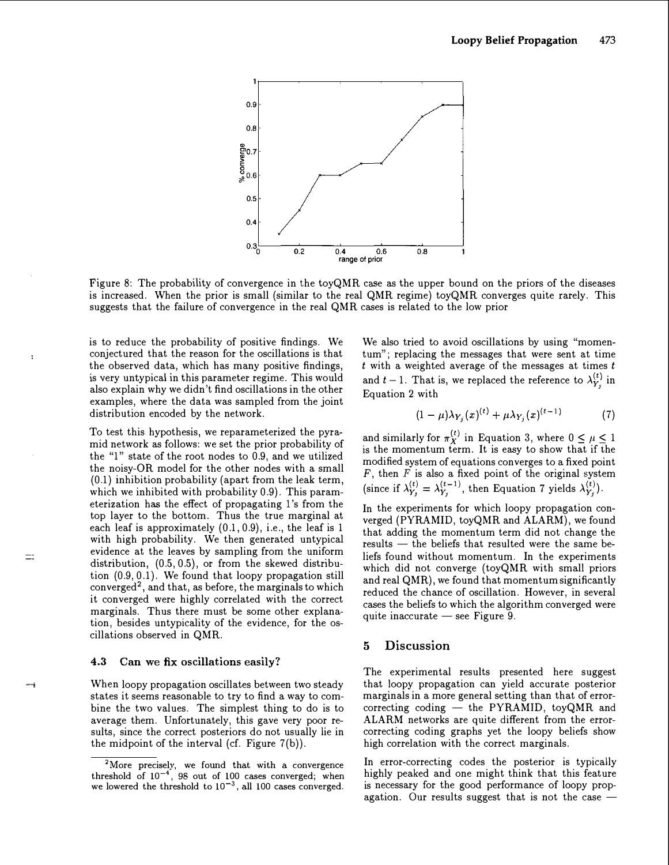

Figure 8: The probability of convergence in the toyQMR case as the upper bound on the priors of the diseases is increased. When the prior is small (similar to the real QMR regime) toyQMR converges quite rarely. This suggests that the failure of convergence in the real QMR cases is related to the low prior

is to reduce the probability of positive findings. We conjectured that the reason for the oscillations is that the observed data, which has many positive findings, is very untypical in this parameter regime. This would also explain why we didn't find oscillations in the other examples, where the data was sampled from the joint distribution encoded by the network.

t

 $\equiv$ 

To test this hypothesis, we reparameterized the pyramid network as follows: we set the prior probability of the "1" state of the root nodes to 0.9, and we utilized the noisy-OR model for the other nodes with a small (0.1) inhibition probability (apart from the leak term, which we inhibited with probability 0.9). This parameterization has the effect of propagating 1's from the top layer to the bottom. Thus the true marginal at each leaf is approximately (0.1, 0.9), i.e., the leaf is 1 with high probability. We then generated untypical evidence at the leaves by sampling from the uniform distribution, (0.5, 0.5), or from the skewed distribution  $(0.9, 0.1)$ . We found that loopy propagation still  $converged<sup>2</sup>$ , and that, as before, the marginals to which it converged were highly correlated with the correct marginals. Thus there must be some other explanation, besides untypicality of the evidence, for the oscillations observed in QMR.

#### 4.3 Can we fix oscillations easily?

When loopy propagation oscillates between two steady states it seems reasonable to try to find a way to combine the two values. The simplest thing to do is to average them. Unfortunately, this gave very poor results, since the correct posteriors do not usually lie in the midpoint of the interval (cf. Figure  $7(b)$ ).

We also tried to avoid oscillations by using "momentum"; replacing the messages that were sent at time  $t$  with a weighted average of the messages at times  $t$ and  $t-1$ . That is, we replaced the reference to  $\lambda_{Y_j}^{(t)}$  in Equation 2 with

$$
(1 - \mu)\lambda_{Y_i}(x)^{(t)} + \mu\lambda_{Y_i}(x)^{(t-1)} \tag{7}
$$

and similarly for  $\pi_X^{(t)}$  in Equation 3, where  $0 \leq \mu \leq 1$ is the momentum term. It is easy to show that if the modified system of equations converges to a fixed point  $F$ , then  $F$  is also a fixed point of the original system (since if  $\lambda_{Y_j}^{(t)} = \lambda_{Y_j}^{(t-1)}$ , then Equation 7 yields  $\lambda_{Y_j}^{(t)}$ ).

In the experiments for which loopy propagation converged (PYRAMID, toyQMR and ALARM), we found that adding the momentum term did not change the  $results$  - the beliefs that resulted were the same beliefs found without momentum. In the experiments which did not converge (toyQMR with small priors and real QMR), we found that momentum significantly reduced the chance of oscillation. However, in several cases the beliefs to which the algorithm converged were quite inaccurate - see Figure 9.

## 5 Discussion

The experimental results presented here suggest that loopy propagation can yield accurate posterior marginals in a more general setting than that of errorcorrecting coding  $-$  the PYRAMID, toyQMR and ALARM networks are quite different from the errorcorrecting coding graphs yet the loopy beliefs show high correlation with the correct marginals.

In error-correcting codes the posterior is typically highly peaked and one might think that this feature is necessary for the good performance of loopy propagation. Our results suggest that is not the case  $-$ 

<sup>&</sup>lt;sup>2</sup>More precisely, we found that with a convergence threshold of  $10^{-4}$ , 98 out of 100 cases converged; when we lowered the threshold to  $10^{-3}$ , all 100 cases converged.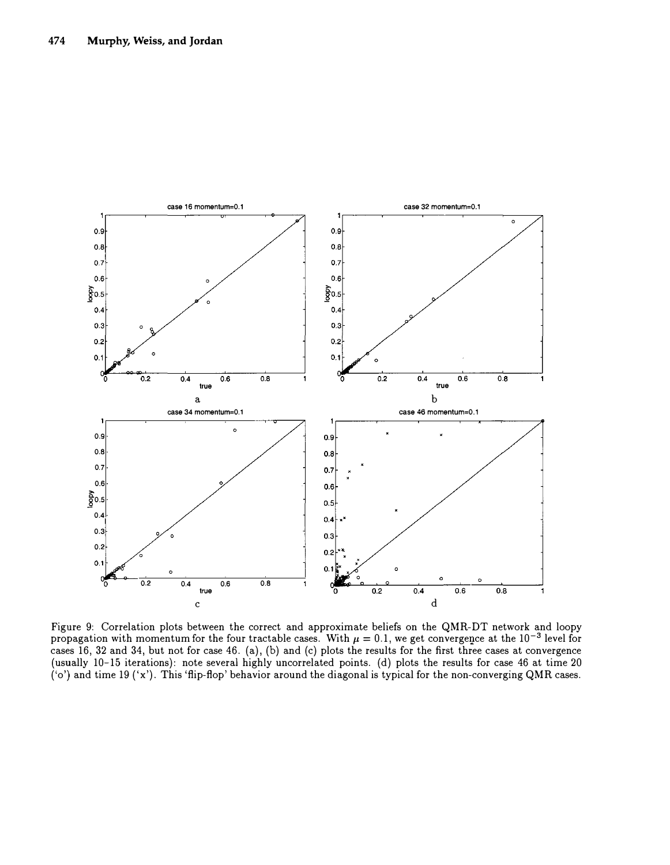

Figure 9: Correlation plots between the correct and approximate beliefs on the QMR-DT network and loopy propagation with momentum for the four tractable cases. With  $\mu = 0.1$ , we get convergence at the  $10^{-3}$  level for cases 16, 32 and 34, but not for case 46. (a), (b) and (c) plots the results for the first three cases at convergence (usually 10-15 iterations): note several highly uncorrelated points. (d) plots the results for case 46 at time 20 ('o') and time 19 ('x'). This 'flip-flop' behavior around the diagonal is typical for the non-converging QMR cases.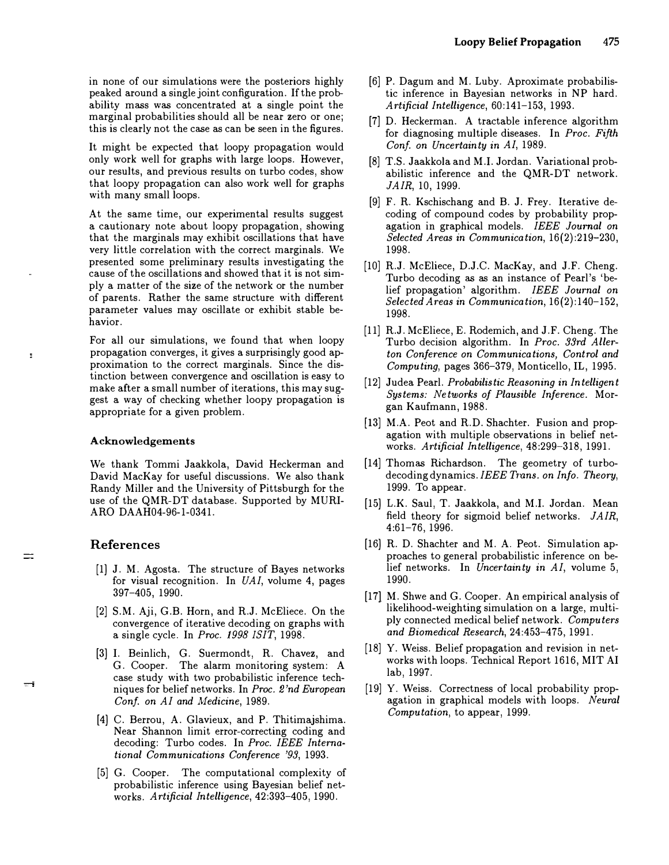in none of our simulations were the posteriors highly peaked around a single joint configuration. If the probability mass was concentrated at a single point the marginal probabilities should all be near zero or one; this is clearly not the case as can be seen in the figures.

It might be expected that loopy propagation would only work well for graphs with large loops. However, our results, and previous results on turbo codes, show that loopy propagation can also work well for graphs with many small loops.

At the same time, our experimental results suggest a cautionary note about loopy propagation, showing that the marginals may exhibit oscillations that have very little correlation with the correct marginals. We presented some preliminary results investigating the cause of the oscillations and showed that it is not simply a matter of the size of the network or the number of parents. Rather the same structure with different parameter values may oscillate or exhibit stable behavior.

For all our simulations, we found that when loopy propagation converges, it gives a surprisingly good approximation to the correct marginals. Since the distinction between convergence and oscillation is easy to make after a small number of iterations, this may suggest a way of checking whether loopy propagation is appropriate for a given problem.

#### Acknowledgements

We thank Tommi Jaakkola, David Heckerman and David MacKay for useful discussions. We also thank Randy Miller and the University of Pittsburgh for the use of the QMR-DT database. Supported by MURI-ARO DAAH04-96-1-0341.

## References

- [1] J. M. Agosta. The structure of Bayes networks for visual recognition. In  $UAI$ , volume 4, pages 397-405, 1990.
- [2] S.M. Aji, G.B. Horn, and R.J. McEliece. On the convergence of iterative decoding on graphs with a single cycle. In Proc. 1998 !SIT, 1998.
- [3] I. Beinlich, G. Suermondt, R. Chavez, and G. Cooper. The alarm monitoring system: A case study with two probabilistic inference techniques for belief networks. In Proc. 2 'nd European Conf. on AI and Medicine, 1989.
- [4] C. Berrou, A. Glavieux, and P. Thitimajshima. Near Shannon limit error-correcting coding and decoding: Turbo codes. In Proc. IEEE International Communications Conference '93, 1993.
- [5] G. Cooper. The computational complexity of probabilistic inference using Bayesian belief networks. Artificial Intelligence, 42:393-405, 1990.

[6] P. Dagum and M. Luby. Aproximate probabilistic inference in Bayesian networks in NP hard. Artificial Intelligence, 60:141-153, 1993.

Loopy Belief Propagation 475

- [7] D. Heckerman. A tractable inference algorithm for diagnosing multiple diseases. In Proc. Fifth Conf. on Uncertainty in AI, 1989.
- [8] T.S. Jaakkola and M.l. Jordan. Variational probabilistic inference and the QMR-DT network. JAIR, 10, 1999.
- [9] F. R. Kschischang and B. J. Frey. Iterative decoding of compound codes by probability propagation in graphical models. IEEE Journal on Selected Areas in Communication, 16(2) :219-230, 1998.
- [10] R.J. McEliece, D.J.C. MacKay, and J.F. Cheng. Turbo decoding as as an instance of Pearl's 'belief propagation' algorithm. IEEE Journal on Selected Areas in Communication, 16(2):140-152, 1998.
- [11] R.J. McEliece, E. Rodemich, and J.F. Cheng. The Turbo decision algorithm. In Proc. 33rd Allerton Conference on Communications, Control and Computing, pages 366-379, Monticello, IL, 1995.
- [12] Judea Pearl. Probabilistic Reasoning in Intelligent Systems: Networks of Plausible Inference. Morgan Kaufmann, 1988.
- [13] M.A. Peot and R.D. Shachter. Fusion and propagation with multiple observations in belief networks. Artificial Intelligence, 48:299-318, 1991.
- [14] Thomas Richardson. The geometry of turbodecoding dynamics. IEEE Trans. on Info. Theory, 1999. To appear.
- [15] L.K. Saul, T. Jaakkola, and M.l. Jordan. Mean field theory for sigmoid belief networks. JAIR, 4:61-76, 1996.
- [16] R. D. Shachter and M. A. Peot. Simulation approaches to general probabilistic inference on belief networks. In Uncertainty in AI, volume 5, 1990.
- [17] M. Shwe and G. Cooper. An empirical analysis of likelihood-weighting simulation on a large, multiply connected medical belief network. Computers and Biomedical Research, 24:453-475, 1991.
- [18] Y. Weiss. Belief propagation and revision in networks with loops. Technical Report 1616, MIT AI lab, 1997.
- [19] Y. Weiss. Correctness of local probability propagation in graphical models with loops. Neural Computation, to appear, 1999.

 $\overline{\mathbb{Z}/2}$ 

ă